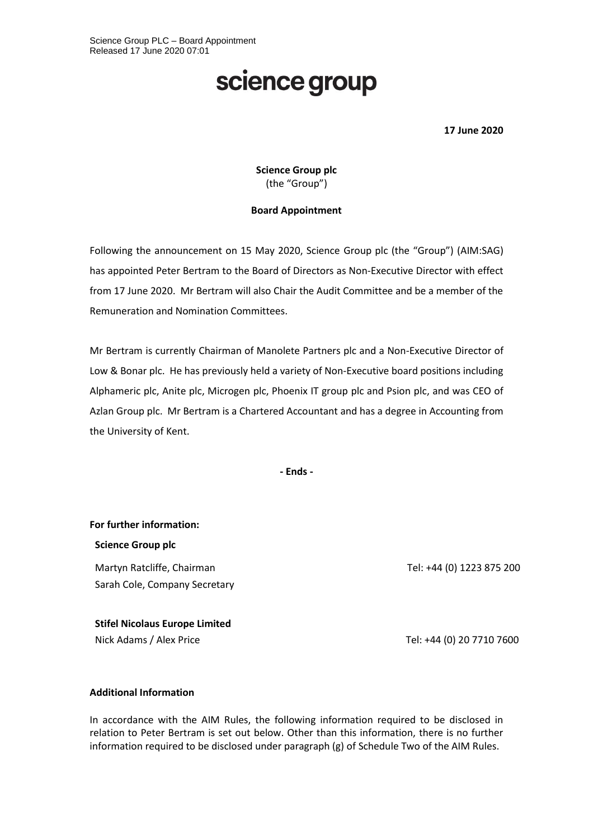## science group

**17 June 2020**

**Science Group plc** (the "Group")

#### **Board Appointment**

Following the announcement on 15 May 2020, Science Group plc (the "Group") (AIM:SAG) has appointed Peter Bertram to the Board of Directors as Non-Executive Director with effect from 17 June 2020. Mr Bertram will also Chair the Audit Committee and be a member of the Remuneration and Nomination Committees.

Mr Bertram is currently Chairman of Manolete Partners plc and a Non-Executive Director of Low & Bonar plc. He has previously held a variety of Non-Executive board positions including Alphameric plc, Anite plc, Microgen plc, Phoenix IT group plc and Psion plc, and was CEO of Azlan Group plc. Mr Bertram is a Chartered Accountant and has a degree in Accounting from the University of Kent.

**- Ends -**

**For further information: Science Group plc** Martyn Ratcliffe, Chairman

**Stifel Nicolaus Europe Limited** Nick Adams / Alex Price Tel: +44 (0) 20 7710 7600

Sarah Cole, Company Secretary

Tel: +44 (0) 1223 875 200

### **Additional Information**

In accordance with the AIM Rules, the following information required to be disclosed in relation to Peter Bertram is set out below. Other than this information, there is no further information required to be disclosed under paragraph (g) of Schedule Two of the AIM Rules.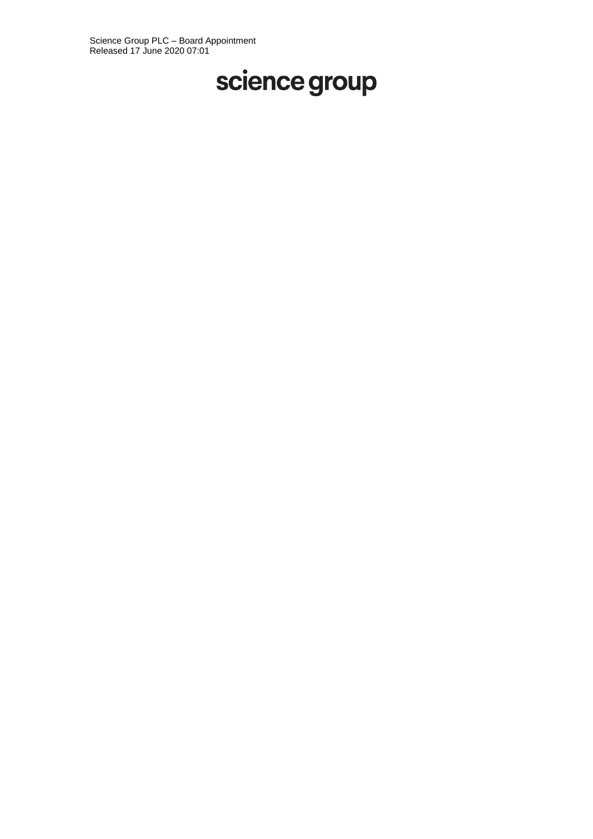# science group